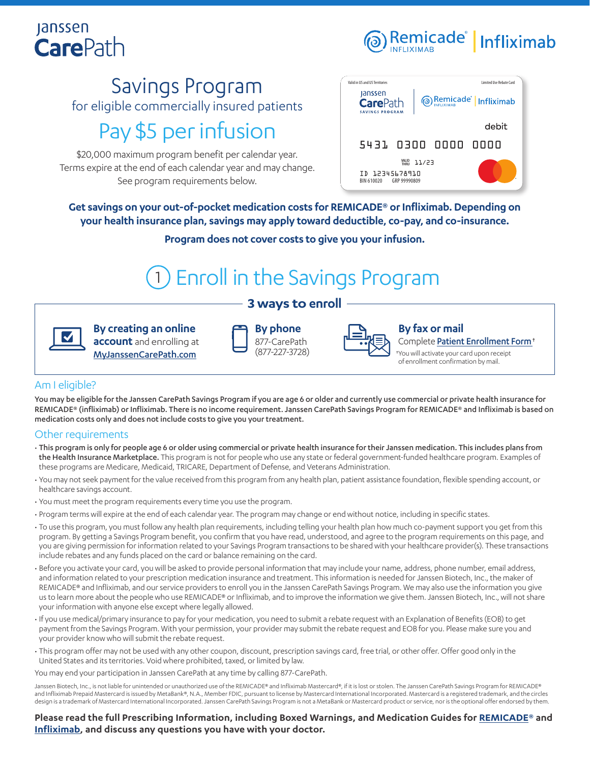## **Janssen CarePath**



### Savings Program for eligible commercially insured patients

## Pay \$5 per infusion

\$20,000 maximum program benefit per calendar year. Terms expire at the end of each calendar year and may change. See program requirements below.



**Get savings on your out-of-pocket medication costs for REMICADE® or Infliximab. Depending on your health insurance plan, savings may apply toward deductible, co-pay, and co-insurance.**

**Program does not cover costs to give you your infusion.**

# 1 Enroll in the Savings Program

### **3 ways to enroll**

**By creating an online account** and enrolling at [MyJanssenCarePath.com](https://www.myjanssencarepath.com/s/login/SelfRegister?regBy=Self)

|   | <b>By phone</b>                |
|---|--------------------------------|
| Ì | 877-CarePath<br>(877-227-3728) |



### **By fax or mail**

Complete [Patient Enrollment Form](https://www.janssencarepath.com/sites/www.janssencarepath.com/files/remicade-patient-enrollment-form.pdf)†

†You will activate your card upon receipt of enrollment confirmation by mail.

### Am I eligible?

You may be eligible for the Janssen CarePath Savings Program if you are age 6 or older and currently use commercial or private health insurance for REMICADE® (infliximab) or Infliximab. There is no income requirement. Janssen CarePath Savings Program for REMICADE® and Infliximab is based on medication costs only and does not include costs to give you your treatment.

### Other requirements

- This program is only for people age 6 or older using commercial or private health insurance for their Janssen medication. This includes plans from the Health Insurance Marketplace. This program is not for people who use any state or federal government-funded healthcare program. Examples of these programs are Medicare, Medicaid, TRICARE, Department of Defense, and Veterans Administration.
- You may not seek payment for the value received from this program from any health plan, patient assistance foundation, flexible spending account, or healthcare savings account.
- You must meet the program requirements every time you use the program.
- Program terms will expire at the end of each calendar year. The program may change or end without notice, including in specific states.
- To use this program, you must follow any health plan requirements, including telling your health plan how much co-payment support you get from this program. By getting a Savings Program benefit, you confirm that you have read, understood, and agree to the program requirements on this page, and you are giving permission for information related to your Savings Program transactions to be shared with your healthcare provider(s). These transactions include rebates and any funds placed on the card or balance remaining on the card.
- Before you activate your card, you will be asked to provide personal information that may include your name, address, phone number, email address, and information related to your prescription medication insurance and treatment. This information is needed for Janssen Biotech, Inc., the maker of REMICADE® and Infliximab, and our service providers to enroll you in the Janssen CarePath Savings Program. We may also use the information you give us to learn more about the people who use REMICADE® or Infliximab, and to improve the information we give them. Janssen Biotech, Inc., will not share your information with anyone else except where legally allowed.
- If you use medical/primary insurance to pay for your medication, you need to submit a rebate request with an Explanation of Benefits (EOB) to get payment from the Savings Program. With your permission, your provider may submit the rebate request and EOB for you. Please make sure you and your provider know who will submit the rebate request.
- This program offer may not be used with any other coupon, discount, prescription savings card, free trial, or other offer. Offer good only in the United States and its territories. Void where prohibited, taxed, or limited by law.

You may end your participation in Janssen CarePath at any time by calling 877-CarePath.

Janssen Biotech, Inc., is not liable for unintended or unauthorized use of the REMICADE® and Infliximab Mastercard®, if it is lost or stolen. The Janssen CarePath Savings Program for REMICADE® and Infliximab Prepaid Mastercard is issued by MetaBank®, N.A., Member FDIC, pursuant to license by Mastercard International Incorporated. Mastercard is a registered trademark, and the circles design is a trademark of Mastercard International Incorporated. Janssen CarePath Savings Program is not a MetaBank or Mastercard product or service, nor is the optional offer endorsed by them.

**Please read the full Prescribing Information, including Boxed Warnings, and Medication Guides for [REMICADE®](https://www.janssenlabels.com/package-insert/product-monograph/prescribing-information/REMICADE-pi.pdf) and [Infliximab](https://www.janssenlabels.com/package-insert/product-monograph/prescribing-information/Infliximab-pi.pdf), and discuss any questions you have with your doctor.**